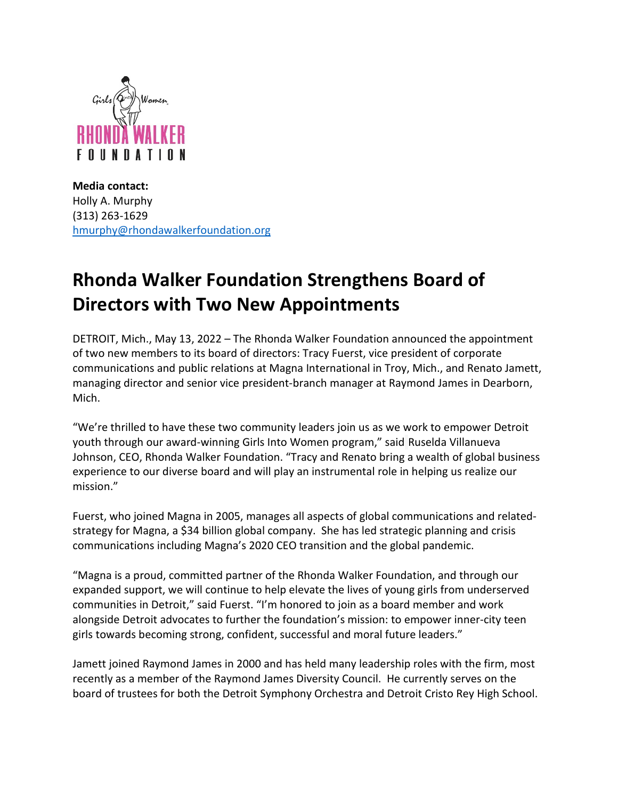

**Media contact:** Holly A. Murphy (313) 263-1629 [hmurphy@rhondawalkerfoundation.org](mailto:hmurphy@rhondawalkerfoundation.org)

## **Rhonda Walker Foundation Strengthens Board of Directors with Two New Appointments**

DETROIT, Mich., May 13, 2022 – The Rhonda Walker Foundation announced the appointment of two new members to its board of directors: Tracy Fuerst, vice president of corporate communications and public relations at Magna International in Troy, Mich., and Renato Jamett, managing director and senior vice president-branch manager at Raymond James in Dearborn, Mich.

"We're thrilled to have these two community leaders join us as we work to empower Detroit youth through our award-winning Girls Into Women program," said Ruselda Villanueva Johnson, CEO, Rhonda Walker Foundation. "Tracy and Renato bring a wealth of global business experience to our diverse board and will play an instrumental role in helping us realize our mission."

Fuerst, who joined Magna in 2005, manages all aspects of global communications and relatedstrategy for Magna, a \$34 billion global company. She has led strategic planning and crisis communications including Magna's 2020 CEO transition and the global pandemic.

"Magna is a proud, committed partner of the Rhonda Walker Foundation, and through our expanded support, we will continue to help elevate the lives of young girls from underserved communities in Detroit," said Fuerst. "I'm honored to join as a board member and work alongside Detroit advocates to further the foundation's mission: to empower inner-city teen girls towards becoming strong, confident, successful and moral future leaders."

Jamett joined Raymond James in 2000 and has held many leadership roles with the firm, most recently as a member of the Raymond James Diversity Council. He currently serves on the board of trustees for both the Detroit Symphony Orchestra and Detroit Cristo Rey High School.